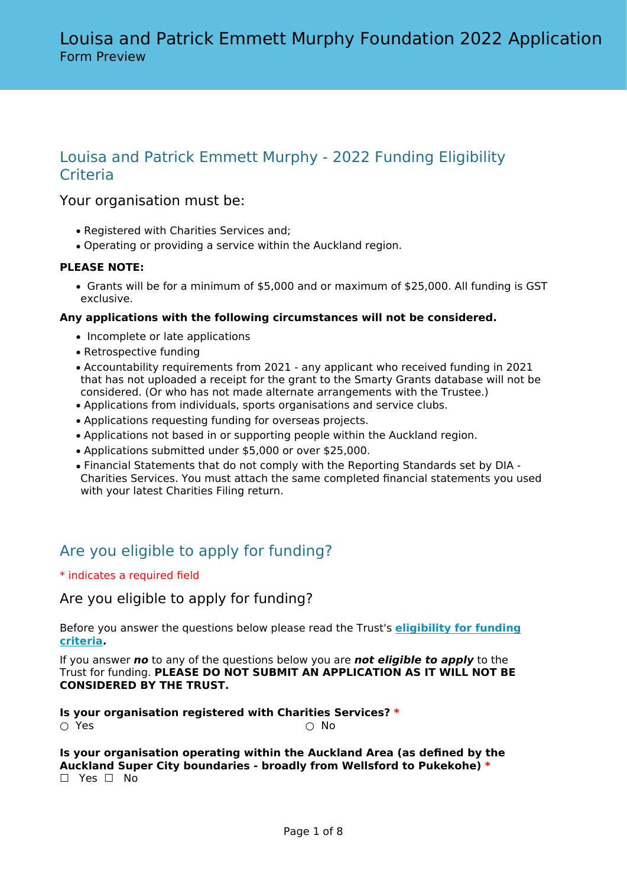# Louisa and Patrick Emmett Murphy - 2022 Funding Eligibility **Criteria**

## Your organisation must be:

- Registered with Charities Services and;
- Operating or providing a service within the Auckland region.

## **PLEASE NOTE:**

• Grants will be for a minimum of \$5,000 and or maximum of \$25,000. All funding is GST exclusive.

## **Any applications with the following circumstances will not be considered.**

- Incomplete or late applications
- Retrospective funding
- Accountability requirements from 2021 any applicant who received funding in 2021 that has not uploaded a receipt for the grant to the Smarty Grants database will not be considered. (Or who has not made alternate arrangements with the Trustee.)
- Applications from individuals, sports organisations and service clubs.
- Applications requesting funding for overseas projects.
- Applications not based in or supporting people within the Auckland region.
- Applications submitted under \$5,000 or over \$25,000.
- Financial Statements that do not comply with the Reporting Standards set by DIA Charities Services. You must attach the same completed financial statements you used with your latest Charities Filing return.

# Are you eligible to apply for funding?

\* indicates a required field

Are you eligible to apply for funding?

Before you answer the questions below please read the Trust's **[eligibility for funding](https://www.publictrust.co.nz/grants/louisa-and-patrick-emmett-murphy-foundation/) [criteria.](https://www.publictrust.co.nz/grants/louisa-and-patrick-emmett-murphy-foundation/)**

If you answer *no* to any of the questions below you are *not eligible to apply* to the Trust for funding. **PLEASE DO NOT SUBMIT AN APPLICATION AS IT WILL NOT BE CONSIDERED BY THE TRUST.**

**Is your organisation registered with Charities Services? \***  $\circlearrowright$  Yes  $\circlearrowright$  No.

**Is your organisation operating within the Auckland Area (as defined by the Auckland Super City boundaries - broadly from Wellsford to Pukekohe) \***  $□$  Yes  $□$  No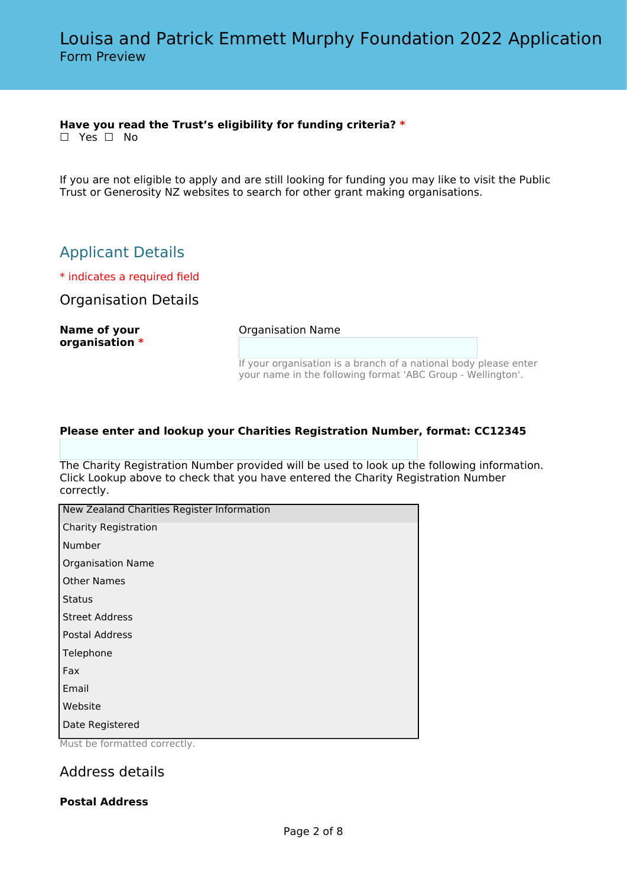## **Have you read the Trust's eligibility for funding criteria? \***

☐ Yes ☐ No

If you are not eligible to apply and are still looking for funding you may like to visit the Public Trust or Generosity NZ websites to search for other grant making organisations.

# Applicant Details

\* indicates a required field

Organisation Details

**Name of your organisation \*** Organisation Name

If your organisation is a branch of a national body please enter your name in the following format 'ABC Group - Wellington'.

## **Please enter and lookup your Charities Registration Number, format: CC12345**

The Charity Registration Number provided will be used to look up the following information. Click Lookup above to check that you have entered the Charity Registration Number correctly.

| New Zealand Charities Register Information                        |
|-------------------------------------------------------------------|
| <b>Charity Registration</b>                                       |
| Number                                                            |
| <b>Organisation Name</b>                                          |
| <b>Other Names</b>                                                |
| <b>Status</b>                                                     |
| <b>Street Address</b>                                             |
| <b>Postal Address</b>                                             |
| Telephone                                                         |
| Fax                                                               |
| Email                                                             |
| Website                                                           |
| Date Registered<br>$M_{112} + M_{22}$ and $M_{212}$ and $M_{212}$ |

Must be formatted correctly.

## Address details

## **Postal Address**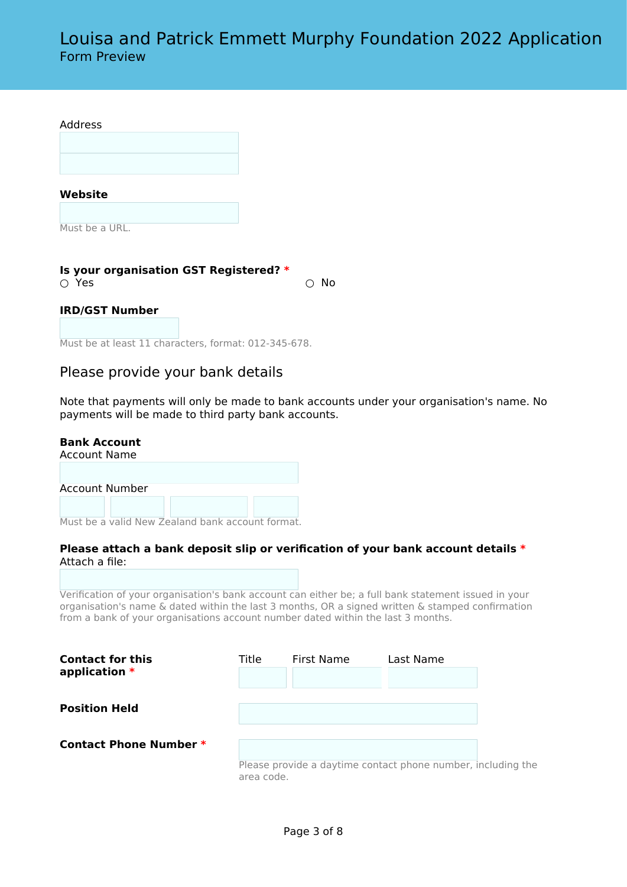**Website**

Must be a URL.

**Is your organisation GST Registered? \*** ○ Yes ○ No

#### **IRD/GST Number**

Must be at least 11 characters, format: 012-345-678.

## Please provide your bank details

Note that payments will only be made to bank accounts under your organisation's name. No payments will be made to third party bank accounts.

#### **Bank Account**

Account Name

Account Number

Must be a valid New Zealand bank account format.

### **Please attach a bank deposit slip or verification of your bank account details \*** Attach a file:

Verification of your organisation's bank account can either be; a full bank statement issued in your organisation's name & dated within the last 3 months, OR a signed written & stamped confirmation from a bank of your organisations account number dated within the last 3 months.

| <b>Contact for this</b><br>application $*$ | Title      | First Name | Last Name                                                    |  |
|--------------------------------------------|------------|------------|--------------------------------------------------------------|--|
| <b>Position Held</b>                       |            |            |                                                              |  |
| <b>Contact Phone Number *</b>              |            |            |                                                              |  |
|                                            | area code. |            | Please provide a daytime contact phone number, including the |  |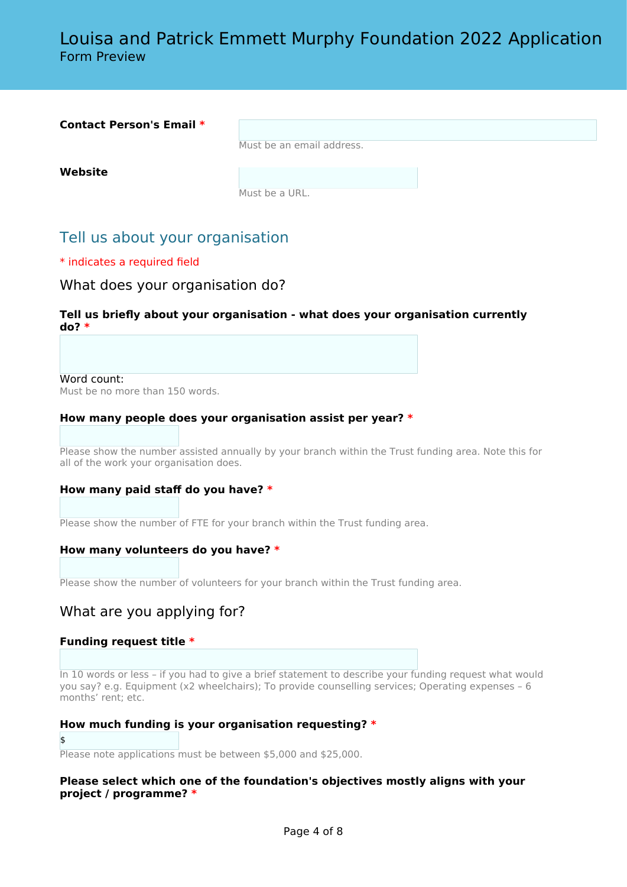| <b>Contact Person's Email *</b> |                           |  |
|---------------------------------|---------------------------|--|
|                                 | Must be an email address. |  |
| Website                         |                           |  |
|                                 | Must be a URL.            |  |

# Tell us about your organisation

## \* indicates a required field

## What does your organisation do?

## **Tell us briefly about your organisation - what does your organisation currently do? \***

Word count:

Must be no more than 150 words.

### **How many people does your organisation assist per year? \***

Please show the number assisted annually by your branch within the Trust funding area. Note this for all of the work your organisation does.

### **How many paid staff do you have? \***

Please show the number of FTE for your branch within the Trust funding area.

### **How many volunteers do you have? \***

Please show the number of volunteers for your branch within the Trust funding area.

## What are you applying for?

### **Funding request title \***

In 10 words or less – if you had to give a brief statement to describe your funding request what would you say? e.g. Equipment (x2 wheelchairs); To provide counselling services; Operating expenses – 6 months' rent; etc.

### **How much funding is your organisation requesting? \***

## \$

Please note applications must be between \$5,000 and \$25,000.

## **Please select which one of the foundation's objectives mostly aligns with your project / programme? \***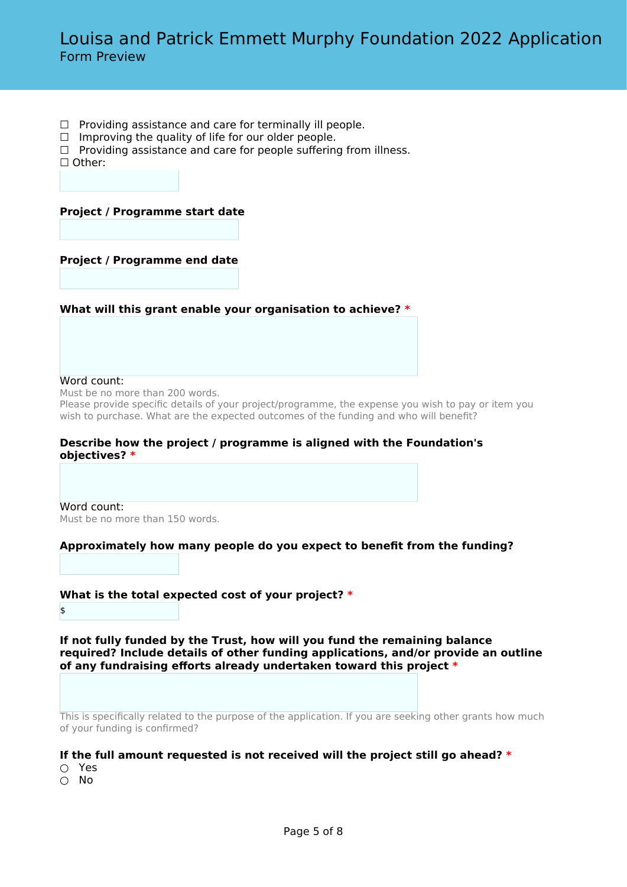- $\Box$  Providing assistance and care for terminally ill people.
- $\Box$  Improving the quality of life for our older people.
- $\Box$  Providing assistance and care for people suffering from illness.

☐ Other:

### **Project / Programme start date**

### **Project / Programme end date**

#### **What will this grant enable your organisation to achieve? \***

#### Word count:

Must be no more than 200 words.

Please provide specific details of your project/programme, the expense you wish to pay or item you wish to purchase. What are the expected outcomes of the funding and who will benefit?

#### **Describe how the project / programme is aligned with the Foundation's objectives? \***

Word count: Must be no more than 150 words.

### **Approximately how many people do you expect to benefit from the funding?**

## **What is the total expected cost of your project? \***

\$

**If not fully funded by the Trust, how will you fund the remaining balance required? Include details of other funding applications, and/or provide an outline of any fundraising efforts already undertaken toward this project \***

This is specifically related to the purpose of the application. If you are seeking other grants how much of your funding is confirmed?

### **If the full amount requested is not received will the project still go ahead? \***

- Yes
- No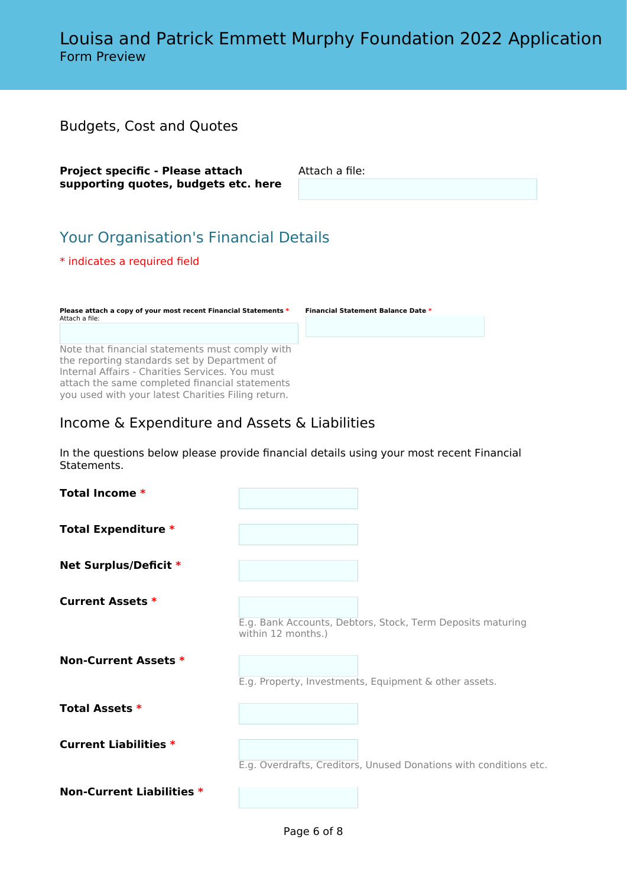| <b>Budgets, Cost and Quotes</b>                                                                                                                                                                      |                                    |  |
|------------------------------------------------------------------------------------------------------------------------------------------------------------------------------------------------------|------------------------------------|--|
| Project specific - Please attach<br>supporting quotes, budgets etc. here                                                                                                                             | Attach a file:                     |  |
| <b>Your Organisation's Financial Details</b><br>* indicates a required field                                                                                                                         |                                    |  |
| Please attach a copy of your most recent Financial Statements *<br>Attach a file:                                                                                                                    | Financial Statement Balance Date * |  |
| Note that financial statements must comply with<br>the reporting standards set by Department of<br>Internal Affairs - Charities Services, You must<br>attach the same completed financial statements |                                    |  |

# Income & Expenditure and Assets & Liabilities

you used with your latest Charities Filing return.

In the questions below please provide financial details using your most recent Financial Statements.

| <b>Total Income *</b>            |                                                                                  |
|----------------------------------|----------------------------------------------------------------------------------|
| <b>Total Expenditure *</b>       |                                                                                  |
| Net Surplus/Deficit *            |                                                                                  |
| <b>Current Assets *</b>          | E.g. Bank Accounts, Debtors, Stock, Term Deposits maturing<br>within 12 months.) |
| Non-Current Assets *             | E.g. Property, Investments, Equipment & other assets.                            |
| <b>Total Assets *</b>            |                                                                                  |
| <b>Current Liabilities *</b>     | E.g. Overdrafts, Creditors, Unused Donations with conditions etc.                |
| <b>Non-Current Liabilities *</b> |                                                                                  |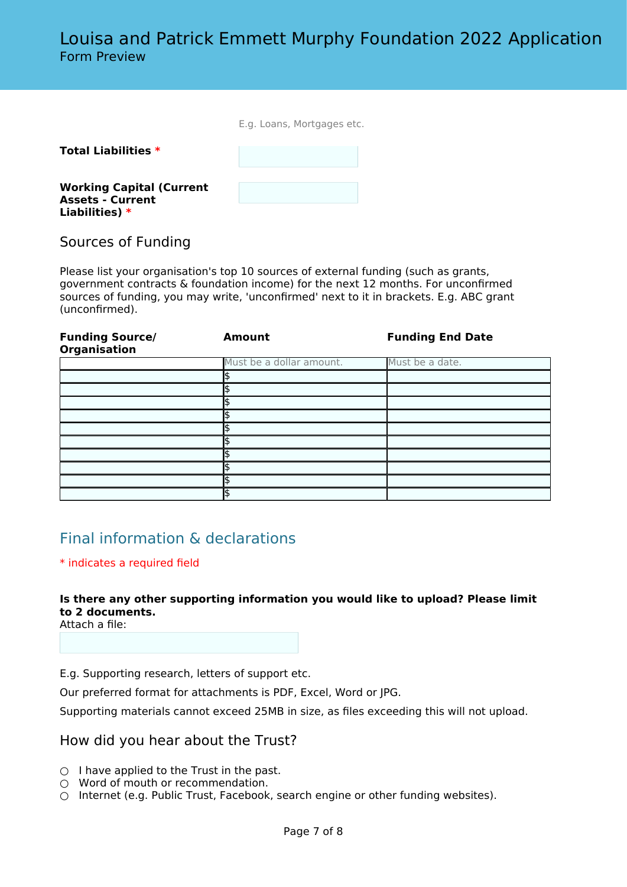|  |  | E.g. Loans, Mortgages etc. |  |
|--|--|----------------------------|--|
|--|--|----------------------------|--|

## **Total Liabilities \***

**Working Capital (Current Assets - Current Liabilities) \***

## Sources of Funding

Please list your organisation's top 10 sources of external funding (such as grants, government contracts & foundation income) for the next 12 months. For unconfirmed sources of funding, you may write, 'unconfirmed' next to it in brackets. E.g. ABC grant (unconfirmed).

| <b>Funding Source/</b><br><b>Organisation</b> | Amount                   | <b>Funding End Date</b> |
|-----------------------------------------------|--------------------------|-------------------------|
|                                               | Must be a dollar amount. | Must be a date.         |
|                                               |                          |                         |
|                                               |                          |                         |
|                                               |                          |                         |
|                                               |                          |                         |
|                                               |                          |                         |
|                                               |                          |                         |
|                                               |                          |                         |
|                                               |                          |                         |
|                                               |                          |                         |
|                                               |                          |                         |

# Final information & declarations

### \* indicates a required field

## **Is there any other supporting information you would like to upload? Please limit to 2 documents.**

Attach a file:

E.g. Supporting research, letters of support etc.

Our preferred format for attachments is PDF, Excel, Word or JPG.

Supporting materials cannot exceed 25MB in size, as files exceeding this will not upload.

## How did you hear about the Trust?

- $\bigcirc$  I have applied to the Trust in the past.
- Word of mouth or recommendation.
- $\circ$  Internet (e.g. Public Trust, Facebook, search engine or other funding websites).